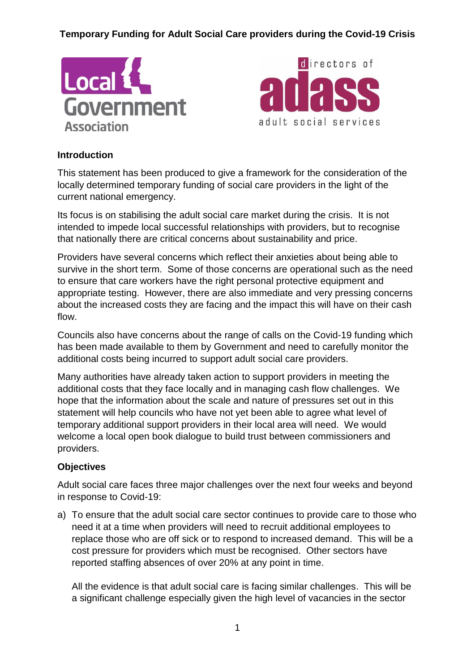



#### **Introduction**

This statement has been produced to give a framework for the consideration of the locally determined temporary funding of social care providers in the light of the current national emergency.

Its focus is on stabilising the adult social care market during the crisis. It is not intended to impede local successful relationships with providers, but to recognise that nationally there are critical concerns about sustainability and price.

Providers have several concerns which reflect their anxieties about being able to survive in the short term. Some of those concerns are operational such as the need to ensure that care workers have the right personal protective equipment and appropriate testing. However, there are also immediate and very pressing concerns about the increased costs they are facing and the impact this will have on their cash flow.

Councils also have concerns about the range of calls on the Covid-19 funding which has been made available to them by Government and need to carefully monitor the additional costs being incurred to support adult social care providers.

Many authorities have already taken action to support providers in meeting the additional costs that they face locally and in managing cash flow challenges. We hope that the information about the scale and nature of pressures set out in this statement will help councils who have not yet been able to agree what level of temporary additional support providers in their local area will need. We would welcome a local open book dialogue to build trust between commissioners and providers.

#### **Objectives**

Adult social care faces three major challenges over the next four weeks and beyond in response to Covid-19:

a) To ensure that the adult social care sector continues to provide care to those who need it at a time when providers will need to recruit additional employees to replace those who are off sick or to respond to increased demand. This will be a cost pressure for providers which must be recognised. Other sectors have reported staffing absences of over 20% at any point in time.

All the evidence is that adult social care is facing similar challenges. This will be a significant challenge especially given the high level of vacancies in the sector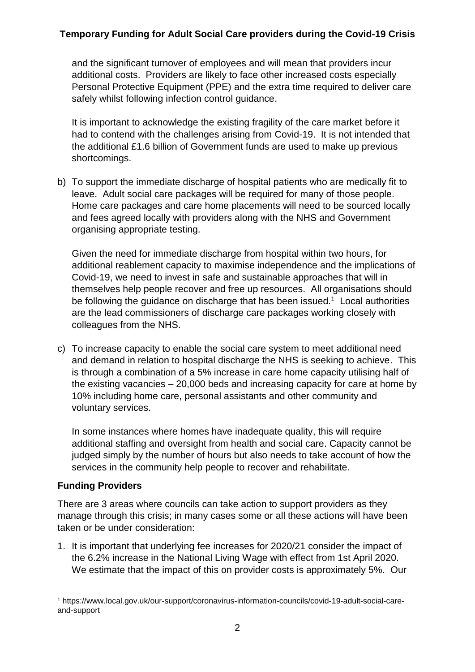and the significant turnover of employees and will mean that providers incur additional costs. Providers are likely to face other increased costs especially Personal Protective Equipment (PPE) and the extra time required to deliver care safely whilst following infection control guidance.

It is important to acknowledge the existing fragility of the care market before it had to contend with the challenges arising from Covid-19. It is not intended that the additional £1.6 billion of Government funds are used to make up previous shortcomings.

b) To support the immediate discharge of hospital patients who are medically fit to leave. Adult social care packages will be required for many of those people. Home care packages and care home placements will need to be sourced locally and fees agreed locally with providers along with the NHS and Government organising appropriate testing.

Given the need for immediate discharge from hospital within two hours, for additional reablement capacity to maximise independence and the implications of Covid-19, we need to invest in safe and sustainable approaches that will in themselves help people recover and free up resources. All organisations should be following the guidance on discharge that has been issued.<sup>1</sup> Local authorities are the lead commissioners of discharge care packages working closely with colleagues from the NHS.

c) To increase capacity to enable the social care system to meet additional need and demand in relation to hospital discharge the NHS is seeking to achieve. This is through a combination of a 5% increase in care home capacity utilising half of the existing vacancies – 20,000 beds and increasing capacity for care at home by 10% including home care, personal assistants and other community and voluntary services.

In some instances where homes have inadequate quality, this will require additional staffing and oversight from health and social care. Capacity cannot be judged simply by the number of hours but also needs to take account of how the services in the community help people to recover and rehabilitate.

#### **Funding Providers**

There are 3 areas where councils can take action to support providers as they manage through this crisis; in many cases some or all these actions will have been taken or be under consideration:

1. It is important that underlying fee increases for 2020/21 consider the impact of the 6.2% increase in the National Living Wage with effect from 1st April 2020. We estimate that the impact of this on provider costs is approximately 5%. Our

<sup>&</sup>lt;u>.</u> <sup>1</sup> https://www.local.gov.uk/our-support/coronavirus-information-councils/covid-19-adult-social-careand-support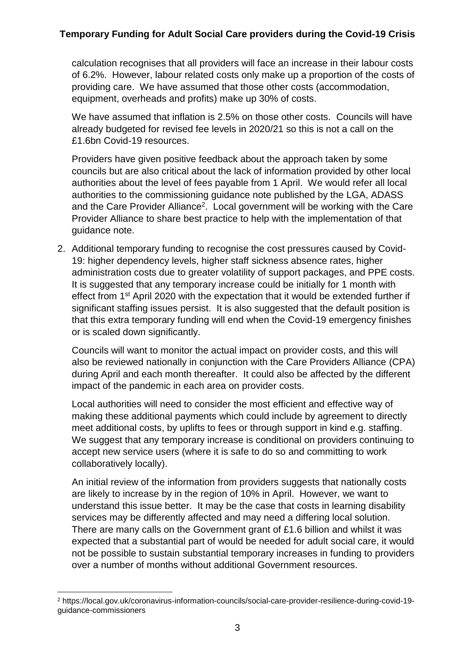calculation recognises that all providers will face an increase in their labour costs of 6.2%. However, labour related costs only make up a proportion of the costs of providing care. We have assumed that those other costs (accommodation, equipment, overheads and profits) make up 30% of costs.

We have assumed that inflation is 2.5% on those other costs. Councils will have already budgeted for revised fee levels in 2020/21 so this is not a call on the £1.6bn Covid-19 resources.

Providers have given positive feedback about the approach taken by some councils but are also critical about the lack of information provided by other local authorities about the level of fees payable from 1 April. We would refer all local authorities to the commissioning guidance note published by the LGA, ADASS and the Care Provider Alliance<sup>2</sup>. Local government will be working with the Care Provider Alliance to share best practice to help with the implementation of that guidance note.

2. Additional temporary funding to recognise the cost pressures caused by Covid-19: higher dependency levels, higher staff sickness absence rates, higher administration costs due to greater volatility of support packages, and PPE costs. It is suggested that any temporary increase could be initially for 1 month with effect from 1st April 2020 with the expectation that it would be extended further if significant staffing issues persist. It is also suggested that the default position is that this extra temporary funding will end when the Covid-19 emergency finishes or is scaled down significantly.

Councils will want to monitor the actual impact on provider costs, and this will also be reviewed nationally in conjunction with the Care Providers Alliance (CPA) during April and each month thereafter. It could also be affected by the different impact of the pandemic in each area on provider costs.

Local authorities will need to consider the most efficient and effective way of making these additional payments which could include by agreement to directly meet additional costs, by uplifts to fees or through support in kind e.g. staffing. We suggest that any temporary increase is conditional on providers continuing to accept new service users (where it is safe to do so and committing to work collaboratively locally).

An initial review of the information from providers suggests that nationally costs are likely to increase by in the region of 10% in April. However, we want to understand this issue better. It may be the case that costs in learning disability services may be differently affected and may need a differing local solution. There are many calls on the Government grant of £1.6 billion and whilst it was expected that a substantial part of would be needed for adult social care, it would not be possible to sustain substantial temporary increases in funding to providers over a number of months without additional Government resources.

<sup>&</sup>lt;u>.</u> <sup>2</sup> https://local.gov.uk/coronavirus-information-councils/social-care-provider-resilience-during-covid-19 guidance-commissioners